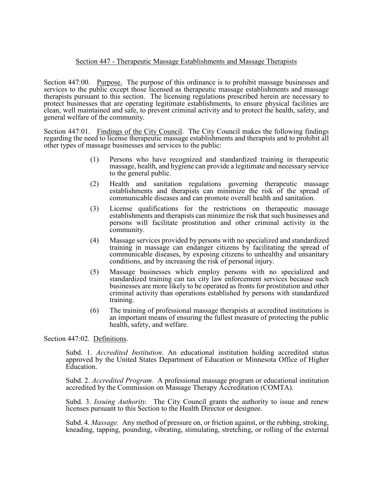## Section 447 - Therapeutic Massage Establishments and Massage Therapists

Section 447:00. Purpose. The purpose of this ordinance is to prohibit massage businesses and services to the public except those licensed as therapeutic massage establishments and massage therapists pursuant to this section. The licensing regulations prescribed herein are necessary to protect businesses that are operating legitimate establishments, to ensure physical facilities are clean, well maintained and safe, to prevent criminal activity and to protect the health, safety, and general welfare of the community.

Section 447:01. Findings of the City Council. The City Council makes the following findings regarding the need to license therapeutic massage establishments and therapists and to prohibit all other types of massage businesses and services to the public:

- (1) Persons who have recognized and standardized training in therapeutic massage, health, and hygiene can provide a legitimate and necessary service to the general public.
- (2) Health and sanitation regulations governing therapeutic massage establishments and therapists can minimize the risk of the spread of communicable diseases and can promote overall health and sanitation.
- (3) License qualifications for the restrictions on therapeutic massage establishments and therapists can minimize the risk that such businesses and persons will facilitate prostitution and other criminal activity in the community.
- (4) Massage services provided by persons with no specialized and standardized training in massage can endanger citizens by facilitating the spread of communicable diseases, by exposing citizens to unhealthy and unsanitary conditions, and by increasing the risk of personal injury.
- (5) Massage businesses which employ persons with no specialized and standardized training can tax city law enforcement services because such businesses are more likely to be operated as fronts for prostitution and other criminal activity than operations established by persons with standardized training.
- (6) The training of professional massage therapists at accredited institutions is an important means of ensuring the fullest measure of protecting the public health, safety, and welfare.

Section 447:02. Definitions.

Subd. 1. *Accredited Institution*. An educational institution holding accredited status approved by the United States Department of Education or Minnesota Office of Higher Education.

Subd. 2. *Accredited Program*. A professional massage program or educational institution accredited by the Commission on Massage Therapy Accreditation (COMTA).

Subd. 3. *Issuing Authority.* The City Council grants the authority to issue and renew licenses pursuant to this Section to the Health Director or designee.

Subd. 4. *Massage.* Any method of pressure on, or friction against, or the rubbing, stroking, kneading, tapping, pounding, vibrating, stimulating, stretching, or rolling of the external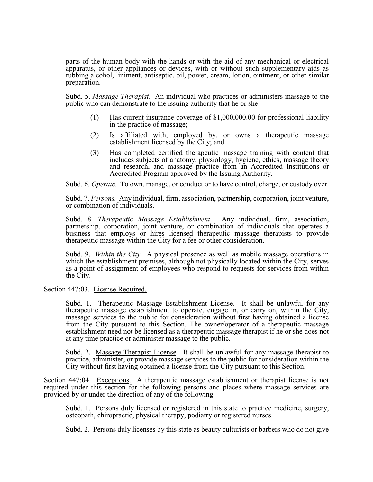parts of the human body with the hands or with the aid of any mechanical or electrical apparatus, or other appliances or devices, with or without such supplementary aids as rubbing alcohol, liniment, antiseptic, oil, power, cream, lotion, ointment, or other similar preparation.

Subd. 5. *Massage Therapist*. An individual who practices or administers massage to the public who can demonstrate to the issuing authority that he or she:

- (1) Has current insurance coverage of \$1,000,000.00 for professional liability in the practice of massage;
- (2) Is affiliated with, employed by, or owns a therapeutic massage establishment licensed by the City; and
- (3) Has completed certified therapeutic massage training with content that includes subjects of anatomy, physiology, hygiene, ethics, massage theory and research, and massage practice from an Accredited Institutions or Accredited Program approved by the Issuing Authority.

Subd. 6. *Operate.* To own, manage, or conduct or to have control, charge, or custody over.

Subd. 7. *Persons.* Any individual, firm, association, partnership, corporation, joint venture, or combination of individuals.

Subd. 8. *Therapeutic Massage Establishment*. Any individual, firm, association, partnership, corporation, joint venture, or combination of individuals that operates a business that employs or hires licensed therapeutic massage therapists to provide therapeutic massage within the City for a fee or other consideration.

Subd. 9. *Within the City*. A physical presence as well as mobile massage operations in which the establishment premises, although not physically located within the City, serves as a point of assignment of employees who respond to requests for services from within the City.

Section 447:03. License Required.

Subd. 1. Therapeutic Massage Establishment License. It shall be unlawful for any therapeutic massage establishment to operate, engage in, or carry on, within the City, massage services to the public for consideration without first having obtained a license from the City pursuant to this Section. The owner/operator of a therapeutic massage establishment need not be licensed as a therapeutic massage therapist if he or she does not at any time practice or administer massage to the public.

Subd. 2. Massage Therapist License. It shall be unlawful for any massage therapist to practice, administer, or provide massage services to the public for consideration within the City without first having obtained a license from the City pursuant to this Section.

Section 447:04. Exceptions. A therapeutic massage establishment or therapist license is not required under this section for the following persons and places where massage services are provided by or under the direction of any of the following:

Subd. 1. Persons duly licensed or registered in this state to practice medicine, surgery, osteopath, chiropractic, physical therapy, podiatry or registered nurses.

Subd. 2. Persons duly licenses by this state as beauty culturists or barbers who do not give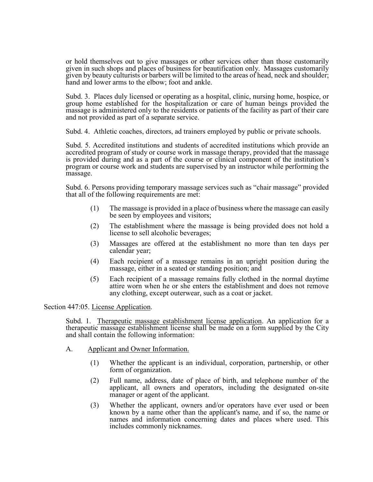or hold themselves out to give massages or other services other than those customarily given in such shops and places of business for beautification only. Massages customarily given by beauty culturists or barbers will be limited to the areas of head, neck and shoulder; hand and lower arms to the elbow; foot and ankle.

Subd. 3. Places duly licensed or operating as a hospital, clinic, nursing home, hospice, or group home established for the hospitalization or care of human beings provided the massage is administered only to the residents or patients of the facility as part of their care and not provided as part of a separate service.

Subd. 4. Athletic coaches, directors, ad trainers employed by public or private schools.

Subd. 5. Accredited institutions and students of accredited institutions which provide an accredited program of study or course work in massage therapy, provided that the massage is provided during and as a part of the course or clinical component of the institution's program or course work and students are supervised by an instructor while performing the massage.

Subd. 6. Persons providing temporary massage services such as "chair massage" provided that all of the following requirements are met:

- (1) The massage is provided in a place of business where the massage can easily be seen by employees and visitors;
- (2) The establishment where the massage is being provided does not hold a license to sell alcoholic beverages;
- (3) Massages are offered at the establishment no more than ten days per calendar year;
- (4) Each recipient of a massage remains in an upright position during the massage, either in a seated or standing position; and
- (5) Each recipient of a massage remains fully clothed in the normal daytime attire worn when he or she enters the establishment and does not remove any clothing, except outerwear, such as a coat or jacket.

Section 447:05. License Application.

Subd. 1. Therapeutic massage establishment license application. An application for a therapeutic massage establishment license shall be made on a form supplied by the City and shall contain the following information:

- A. Applicant and Owner Information.
	- (1) Whether the applicant is an individual, corporation, partnership, or other form of organization.
	- (2) Full name, address, date of place of birth, and telephone number of the applicant, all owners and operators, including the designated on-site manager or agent of the applicant.
	- (3) Whether the applicant, owners and/or operators have ever used or been known by a name other than the applicant's name, and if so, the name or names and information concerning dates and places where used. This includes commonly nicknames.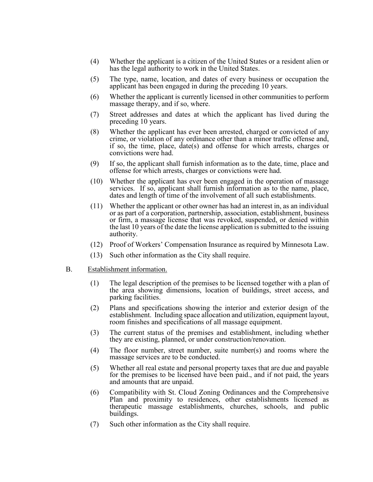- (4) Whether the applicant is a citizen of the United States or a resident alien or has the legal authority to work in the United States.
- (5) The type, name, location, and dates of every business or occupation the applicant has been engaged in during the preceding 10 years.
- (6) Whether the applicant is currently licensed in other communities to perform massage therapy, and if so, where.
- (7) Street addresses and dates at which the applicant has lived during the preceding 10 years.
- (8) Whether the applicant has ever been arrested, charged or convicted of any crime, or violation of any ordinance other than a minor traffic offense and, if so, the time, place, date(s) and offense for which arrests, charges or convictions were had.
- (9) If so, the applicant shall furnish information as to the date, time, place and offense for which arrests, charges or convictions were had.
- (10) Whether the applicant has ever been engaged in the operation of massage services. If so, applicant shall furnish information as to the name, place, dates and length of time of the involvement of all such establishments.
- (11) Whether the applicant or other owner has had an interest in, as an individual or as part of a corporation, partnership, association, establishment, business or firm, a massage license that was revoked, suspended, or denied within the last 10 years of the date the license application is submitted to the issuing authority.
- (12) Proof of Workers' Compensation Insurance as required by Minnesota Law.
- (13) Such other information as the City shall require.
- B. Establishment information.
	- (1) The legal description of the premises to be licensed together with a plan of the area showing dimensions, location of buildings, street access, and parking facilities.
	- (2) Plans and specifications showing the interior and exterior design of the establishment. Including space allocation and utilization, equipment layout, room finishes and specifications of all massage equipment.
	- (3) The current status of the premises and establishment, including whether they are existing, planned, or under construction/renovation.
	- (4) The floor number, street number, suite number(s) and rooms where the massage services are to be conducted.
	- (5) Whether all real estate and personal property taxes that are due and payable for the premises to be licensed have been paid., and if not paid, the years and amounts that are unpaid.
	- (6) Compatibility with St. Cloud Zoning Ordinances and the Comprehensive Plan and proximity to residences, other establishments licensed as therapeutic massage establishments, churches, schools, and public buildings.
	- (7) Such other information as the City shall require.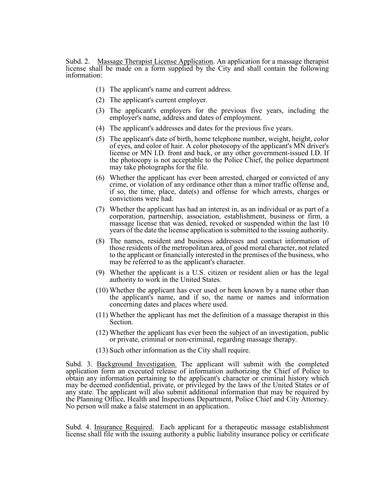Subd. 2. Massage Therapist License Application. An application for a massage therapist license shall be made on a form supplied by the City and shall contain the following information:

- (1) The applicant's name and current address.
- (2) The applicant's current employer.
- (3) The applicant's employers for the previous five years, including the employer's name, address and dates of employment.
- (4) The applicant's addresses and dates for the previous five years.
- (5) The applicant's date of birth, home telephone number, weight, height, color of eyes, and color of hair. A color photocopy of the applicant's MN driver's license or MN I.D. front and back, or any other government-issued I.D. If the photocopy is not acceptable to the Police Chief, the police department may take photographs for the file.
- (6) Whether the applicant has ever been arrested, charged or convicted of any crime, or violation of any ordinance other than a minor traffic offense and, if so, the time, place, date(s) and offense for which arrests, charges or convictions were had.
- (7) Whether the applicant has had an interest in, as an individual or as part of a corporation, partnership, association, establishment, business or firm, a massage license that was denied, revoked or suspended within the last 10 years of the date the license application is submitted to the issuing authority.
- (8) The names, resident and business addresses and contact information of those residents of the metropolitan area, of good moral character, not related to the applicant or financially interested in the premises of the business, who may be referred to as the applicant's character.
- (9) Whether the applicant is a U.S. citizen or resident alien or has the legal authority to work in the United States.
- (10) Whether the applicant has ever used or been known by a name other than the applicant's name, and if so, the name or names and information concerning dates and places where used.
- (11) Whether the applicant has met the definition of a massage therapist in this Section.
- (12) Whether the applicant has ever been the subject of an investigation, public or private, criminal or non-criminal, regarding massage therapy.
- (13) Such other information as the City shall require.

Subd. 3. Background Investigation. The applicant will submit with the completed application form an executed release of information authorizing the Chief of Police to obtain any information pertaining to the applicant's character or criminal history which may be deemed confidential, private, or privileged by the laws of the United States or of any state. The applicant will also submit additional information that may be required by the Planning Office, Health and Inspections Department, Police Chief and City Attorney. No person will make a false statement in an application.

Subd. 4. Insurance Required. Each applicant for a therapeutic massage establishment license shall file with the issuing authority a public liability insurance policy or certificate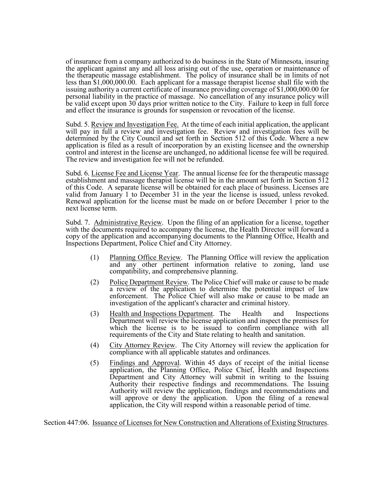of insurance from a company authorized to do business in the State of Minnesota, insuring the applicant against any and all loss arising out of the use, operation or maintenance of the therapeutic massage establishment. The policy of insurance shall be in limits of not less than \$1,000,000.00. Each applicant for a massage therapist license shall file with the issuing authority a current certificate of insurance providing coverage of \$1,000,000.00 for personal liability in the practice of massage. No cancellation of any insurance policy will be valid except upon 30 days prior written notice to the City. Failure to keep in full force and effect the insurance is grounds for suspension or revocation of the license.

Subd. 5. Review and Investigation Fee. At the time of each initial application, the applicant will pay in full a review and investigation fee. Review and investigation fees will be determined by the City Council and set forth in Section 512 of this Code. Where a new application is filed as a result of incorporation by an existing licensee and the ownership control and interest in the license are unchanged, no additional license fee will be required. The review and investigation fee will not be refunded.

Subd. 6. License Fee and License Year. The annual license fee for the therapeutic massage establishment and massage therapist license will be in the amount set forth in Section 512 of this Code. A separate license will be obtained for each place of business. Licenses are valid from January 1 to December 31 in the year the license is issued, unless revoked. Renewal application for the license must be made on or before December 1 prior to the next license term.

Subd. 7. Administrative Review. Upon the filing of an application for a license, together with the documents required to accompany the license, the Health Director will forward a copy of the application and accompanying documents to the Planning Office, Health and Inspections Department, Police Chief and City Attorney.

- (1) Planning Office Review. The Planning Office will review the application and any other pertinent information relative to zoning, land use compatibility, and comprehensive planning.
- (2) Police Department Review. The Police Chief will make or cause to be made a review of the application to determine the potential impact of law enforcement. The Police Chief will also make or cause to be made an investigation of the applicant's character and criminal history.
- (3) Health and Inspections Department. The Health and Inspections Department will review the license application and inspect the premises for which the license is to be issued to confirm compliance with all requirements of the City and State relating to health and sanitation.
- (4) City Attorney Review. The City Attorney will review the application for compliance with all applicable statutes and ordinances.
- (5) Findings and Approval. Within 45 days of receipt of the initial license application, the Planning Office, Police Chief, Health and Inspections Department and City Attorney will submit in writing to the Issuing Authority their respective findings and recommendations. The Issuing Authority will review the application, findings and recommendations and will approve or deny the application. Upon the filing of a renewal application, the City will respond within a reasonable period of time.

Section 447:06. Issuance of Licenses for New Construction and Alterations of Existing Structures.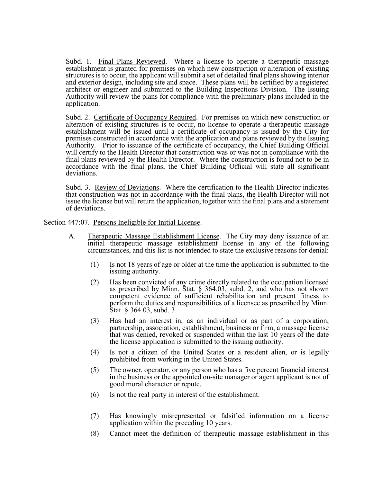Subd. 1. Final Plans Reviewed. Where a license to operate a therapeutic massage establishment is granted for premises on which new construction or alteration of existing structures is to occur, the applicant will submit a set of detailed final plans showing interior and exterior design, including site and space. These plans will be certified by a registered architect or engineer and submitted to the Building Inspections Division. The Issuing Authority will review the plans for compliance with the preliminary plans included in the application.

Subd. 2. Certificate of Occupancy Required. For premises on which new construction or alteration of existing structures is to occur, no license to operate a therapeutic massage establishment will be issued until a certificate of occupancy is issued by the City for premises constructed in accordance with the application and plans reviewed by the Issuing Authority. Prior to issuance of the certificate of occupancy, the Chief Building Official will certify to the Health Director that construction was or was not in compliance with the final plans reviewed by the Health Director. Where the construction is found not to be in accordance with the final plans, the Chief Building Official will state all significant deviations.

Subd. 3. Review of Deviations. Where the certification to the Health Director indicates that construction was not in accordance with the final plans, the Health Director will not issue the license but will return the application, together with the final plans and a statement of deviations.

Section 447:07. Persons Ineligible for Initial License.

- A. Therapeutic Massage Establishment License. The City may deny issuance of an initial therapeutic massage establishment license in any of the following circumstances, and this list is not intended to state the exclusive reasons for denial:
	- (1) Is not 18 years of age or older at the time the application is submitted to the issuing authority.
	- (2) Has been convicted of any crime directly related to the occupation licensed as prescribed by Minn. Stat.  $\S$  364.03, subd. 2, and who has not shown competent evidence of sufficient rehabilitation and present fitness to perform the duties and responsibilities of a licensee as prescribed by Minn. Stat. § 364.03, subd. 3.
	- (3) Has had an interest in, as an individual or as part of a corporation, partnership, association, establishment, business or firm, a massage license that was denied, revoked or suspended within the last 10 years of the date the license application is submitted to the issuing authority.
	- (4) Is not a citizen of the United States or a resident alien, or is legally prohibited from working in the United States.
	- (5) The owner, operator, or any person who has a five percent financial interest in the business or the appointed on-site manager or agent applicant is not of good moral character or repute.
	- (6) Is not the real party in interest of the establishment.
	- (7) Has knowingly misrepresented or falsified information on a license application within the preceding 10 years.
	- (8) Cannot meet the definition of therapeutic massage establishment in this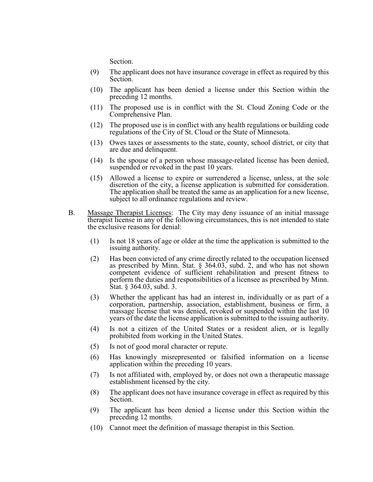Section.

- (9) The applicant does not have insurance coverage in effect as required by this Section.
- (10) The applicant has been denied a license under this Section within the preceding 12 months.
- (11) The proposed use is in conflict with the St. Cloud Zoning Code or the Comprehensive Plan.
- (12) The proposed use is in conflict with any health regulations or building code regulations of the City of St. Cloud or the State of Minnesota.
- (13) Owes taxes or assessments to the state, county, school district, or city that are due and delinquent.
- (14) Is the spouse of a person whose massage-related license has been denied, suspended or revoked in the past 10 years.
- (15) Allowed a license to expire or surrendered a license, unless, at the sole discretion of the city, a license application is submitted for consideration. The application shall be treated the same as an application for a new license, subject to all ordinance regulations and review.
- B. Massage Therapist Licenses: The City may deny issuance of an initial massage therapist license in any of the following circumstances, this is not intended to state the exclusive reasons for denial:
	- (1) Is not 18 years of age or older at the time the application is submitted to the issuing authority.
	- (2) Has been convicted of any crime directly related to the occupation licensed as prescribed by Minn. Stat. § 364.03, subd. 2, and who has not shown competent evidence of sufficient rehabilitation and present fitness to perform the duties and responsibilities of a licensee as prescribed by Minn. Stat. § 364.03, subd. 3.
	- (3) Whether the applicant has had an interest in, individually or as part of a corporation, partnership, association, establishment, business or firm, a massage license that was denied, revoked or suspended within the last 10 years of the date the license application is submitted to the issuing authority.
	- (4) Is not a citizen of the United States or a resident alien, or is legally prohibited from working in the United States.
	- (5) Is not of good moral character or repute.
	- (6) Has knowingly misrepresented or falsified information on a license application within the preceding 10 years.
	- (7) Is not affiliated with, employed by, or does not own a therapeutic massage establishment licensed by the city.
	- (8) The applicant does not have insurance coverage in effect as required by this Section.
	- (9) The applicant has been denied a license under this Section within the preceding 12 months.
	- (10) Cannot meet the definition of massage therapist in this Section.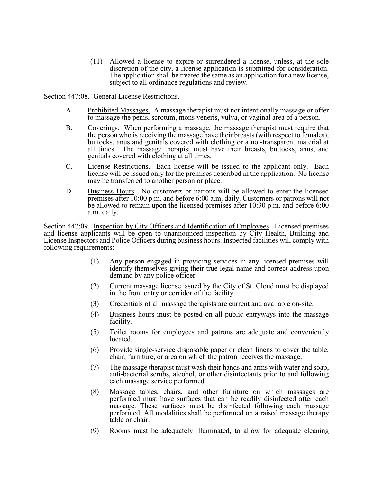(11) Allowed a license to expire or surrendered a license, unless, at the sole discretion of the city, a license application is submitted for consideration. The application shall be treated the same as an application for a new license, subject to all ordinance regulations and review.

Section 447:08. General License Restrictions.

- A. Prohibited Massages. A massage therapist must not intentionally massage or offer to massage the penis, scrotum, mons veneris, vulva, or vaginal area of a person.
- B. Coverings. When performing a massage, the massage therapist must require that the person who is receiving the massage have their breasts (with respect to females), buttocks, anus and genitals covered with clothing or a not-transparent material at all times. The massage therapist must have their breasts, buttocks, anus, and genitals covered with clothing at all times.
- C. License Restrictions. Each license will be issued to the applicant only. Each license will be issued only for the premises described in the application. No license may be transferred to another person or place.
- D. Business Hours. No customers or patrons will be allowed to enter the licensed premises after 10:00 p.m. and before 6:00 a.m. daily. Customers or patrons will not be allowed to remain upon the licensed premises after 10:30 p.m. and before 6:00 a.m. daily.

Section 447:09. Inspection by City Officers and Identification of Employees. Licensed premises and license applicants will be open to unannounced inspection by City Health, Building and License Inspectors and Police Officers during business hours. Inspected facilities will comply with following requirements:

- (1) Any person engaged in providing services in any licensed premises will identify themselves giving their true legal name and correct address upon demand by any police officer.
- (2) Current massage license issued by the City of St. Cloud must be displayed in the front entry or corridor of the facility.
- (3) Credentials of all massage therapists are current and available on-site.
- (4) Business hours must be posted on all public entryways into the massage facility.
- (5) Toilet rooms for employees and patrons are adequate and conveniently located.
- (6) Provide single-service disposable paper or clean linens to cover the table, chair, furniture, or area on which the patron receives the massage.
- (7) The massage therapist must wash their hands and arms with water and soap, anti-bacterial scrubs, alcohol, or other disinfectants prior to and following each massage service performed.
- (8) Massage tables, chairs, and other furniture on which massages are performed must have surfaces that can be readily disinfected after each massage. These surfaces must be disinfected following each massage performed. All modalities shall be performed on a raised massage therapy table or chair.
- (9) Rooms must be adequately illuminated, to allow for adequate cleaning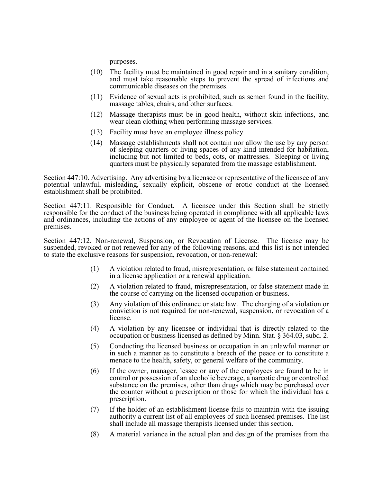purposes.

- (10) The facility must be maintained in good repair and in a sanitary condition, and must take reasonable steps to prevent the spread of infections and communicable diseases on the premises.
- (11) Evidence of sexual acts is prohibited, such as semen found in the facility, massage tables, chairs, and other surfaces.
- (12) Massage therapists must be in good health, without skin infections, and wear clean clothing when performing massage services.
- (13) Facility must have an employee illness policy.
- (14) Massage establishments shall not contain nor allow the use by any person of sleeping quarters or living spaces of any kind intended for habitation, including but not limited to beds, cots, or mattresses. Sleeping or living quarters must be physically separated from the massage establishment.

Section 447:10. Advertising. Any advertising by a licensee or representative of the licensee of any potential unlawful, misleading, sexually explicit, obscene or erotic conduct at the licensed establishment shall be prohibited.

Section 447:11. Responsible for Conduct. A licensee under this Section shall be strictly responsible for the conduct of the business being operated in compliance with all applicable laws and ordinances, including the actions of any employee or agent of the licensee on the licensed premises.

Section 447:12. Non-renewal, Suspension, or Revocation of License. The license may be suspended, revoked or not renewed for any of the following reasons, and this list is not intended to state the exclusive reasons for suspension, revocation, or non-renewal:

- (1) A violation related to fraud, misrepresentation, or false statement contained in a license application or a renewal application.
- (2) A violation related to fraud, misrepresentation, or false statement made in the course of carrying on the licensed occupation or business.
- (3) Any violation of this ordinance or state law. The charging of a violation or conviction is not required for non-renewal, suspension, or revocation of a license.
- (4) A violation by any licensee or individual that is directly related to the occupation or business licensed as defined by Minn. Stat. § 364.03, subd. 2.
- (5) Conducting the licensed business or occupation in an unlawful manner or in such a manner as to constitute a breach of the peace or to constitute a menace to the health, safety, or general welfare of the community.
- (6) If the owner, manager, lessee or any of the employees are found to be in control or possession of an alcoholic beverage, a narcotic drug or controlled substance on the premises, other than drugs which may be purchased over the counter without a prescription or those for which the individual has a prescription.
- (7) If the holder of an establishment license fails to maintain with the issuing authority a current list of all employees of such licensed premises. The list shall include all massage therapists licensed under this section.
- (8) A material variance in the actual plan and design of the premises from the